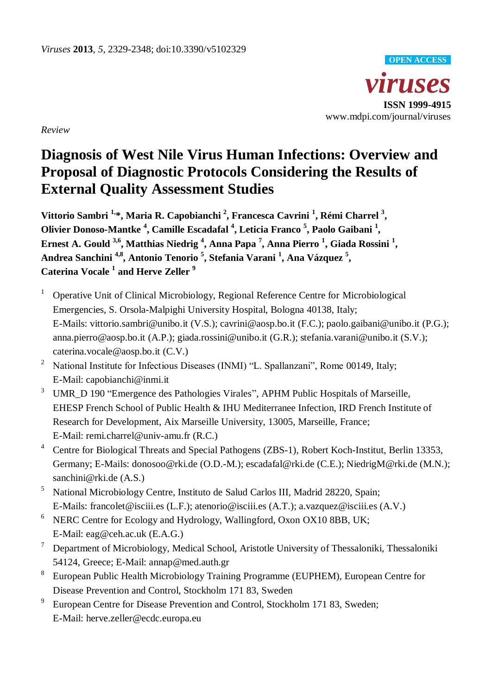

*Review*

# **Diagnosis of West Nile Virus Human Infections: Overview and Proposal of Diagnostic Protocols Considering the Results of External Quality Assessment Studies**

**Vittorio Sambri 1, \*, Maria R. Capobianchi <sup>2</sup> , Francesca Cavrini <sup>1</sup> , Rémi Charrel <sup>3</sup> , Olivier Donoso-Mantke <sup>4</sup> , Camille Escadafal <sup>4</sup> , Leticia Franco <sup>5</sup> , Paolo Gaibani <sup>1</sup> , Ernest A. Gould 3,6 , Matthias Niedrig <sup>4</sup> , Anna Papa <sup>7</sup> , Anna Pierro <sup>1</sup> , Giada Rossini <sup>1</sup> , Andrea Sanchini 4,8 , Antonio Tenorio <sup>5</sup> , Stefania Varani <sup>1</sup> , Ana Vázquez <sup>5</sup> , Caterina Vocale <sup>1</sup> and Herve Zeller <sup>9</sup>**

- <sup>1</sup> Operative Unit of Clinical Microbiology, Regional Reference Centre for Microbiological Emergencies, S. Orsola-Malpighi University Hospital, Bologna 40138, Italy; E-Mails: vittorio.sambri@unibo.it (V.S.); cavrini@aosp.bo.it (F.C.); paolo.gaibani@unibo.it (P.G.); anna.pierro@aosp.bo.it (A.P.); giada.rossini@unibo.it (G.R.); stefania.varani@unibo.it (S.V.); caterina.vocale@aosp.bo.it (C.V.)
- <sup>2</sup> National Institute for Infectious Diseases (INMI) "L. Spallanzani", Rome 00149, Italy; E-Mail: capobianchi@inmi.it
- <sup>3</sup> UMR D 190 "Emergence des Pathologies Virales", APHM Public Hospitals of Marseille, EHESP French School of Public Health & IHU Mediterranee Infection, IRD French Institute of Research for Development, Aix Marseille University, 13005, Marseille, France; E-Mail: remi*.*charrel@univ-amu.fr (R.C.)
- <sup>4</sup> Centre for Biological Threats and Special Pathogens (ZBS-1), Robert Koch-Institut, Berlin 13353, Germany; E-Mails: donosoo@rki.de (O.D.-M.); escadafal@rki.de (C.E.); NiedrigM@rki.de (M.N.); sanchini@rki.de (A.S.)
- <sup>5</sup> National Microbiology Centre, Instituto de Salud Carlos III, Madrid 28220, Spain; E-Mails: francolet@isciii.es (L.F.); atenorio@isciii.es (A.T.); a.vazquez@isciii.es (A.V.)
- $6$  NERC Centre for Ecology and Hydrology, Wallingford, Oxon OX10 8BB, UK; E-Mail: eag@ceh.ac.uk (E.A.G.)
- <sup>7</sup> Department of Microbiology, Medical School, Aristotle University of Thessaloniki, Thessaloniki 54124, Greece; E-Mail: annap@med.auth.gr
- 8 European Public Health Microbiology Training Programme (EUPHEM), European Centre for Disease Prevention and Control, Stockholm 171 83, Sweden
- 9 European Centre for Disease Prevention and Control, Stockholm 171 83, Sweden; E-Mail: herve.zeller@ecdc.europa.eu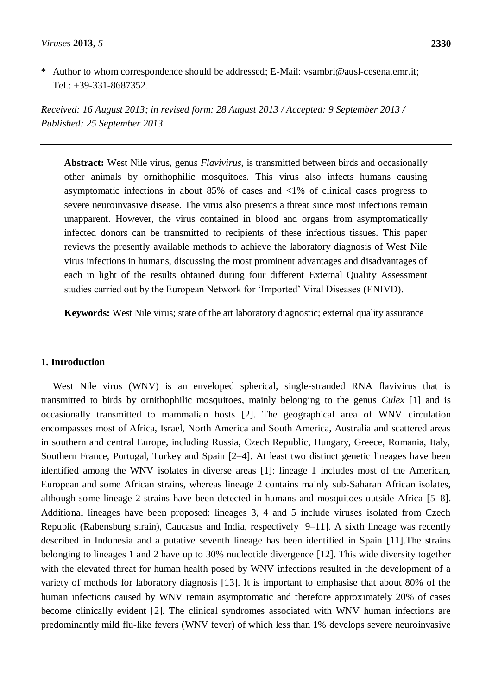**\*** Author to whom correspondence should be addressed; E-Mail: [vsambri@ausl-cesena.emr.it;](mailto:vsambri@ausl-cesena.emr.it) Tel.: +39-331-8687352.

*Received: 16 August 2013; in revised form: 28 August 2013 / Accepted: 9 September 2013 / Published: 25 September 2013*

**Abstract:** West Nile virus, genus *Flavivirus*, is transmitted between birds and occasionally other animals by ornithophilic mosquitoes. This virus also infects humans causing asymptomatic infections in about 85% of cases and <1% of clinical cases progress to severe neuroinvasive disease. The virus also presents a threat since most infections remain unapparent. However, the virus contained in blood and organs from asymptomatically infected donors can be transmitted to recipients of these infectious tissues. This paper reviews the presently available methods to achieve the laboratory diagnosis of West Nile virus infections in humans, discussing the most prominent advantages and disadvantages of each in light of the results obtained during four different External Quality Assessment studies carried out by the European Network for 'Imported' Viral Diseases (ENIVD).

**Keywords:** West Nile virus; state of the art laboratory diagnostic; external quality assurance

### **1. Introduction**

West Nile virus (WNV) is an enveloped spherical, single-stranded RNA flavivirus that is transmitted to birds by ornithophilic mosquitoes, mainly belonging to the genus *Culex* [1] and is occasionally transmitted to mammalian hosts [2]. The geographical area of WNV circulation encompasses most of Africa, Israel, North America and South America, Australia and scattered areas in southern and central Europe, including Russia, Czech Republic, Hungary, Greece, Romania, Italy, Southern France, Portugal, Turkey and Spain [2–4]. At least two distinct genetic lineages have been identified among the WNV isolates in diverse areas [1]: lineage 1 includes most of the American, European and some African strains, whereas lineage 2 contains mainly sub-Saharan African isolates, although some lineage 2 strains have been detected in humans and mosquitoes outside Africa [5–8]. Additional lineages have been proposed: lineages 3, 4 and 5 include viruses isolated from Czech Republic (Rabensburg strain), Caucasus and India, respectively [9–11]. A sixth lineage was recently described in Indonesia and a putative seventh lineage has been identified in Spain [11].The strains belonging to lineages 1 and 2 have up to 30% nucleotide divergence [12]. This wide diversity together with the elevated threat for human health posed by WNV infections resulted in the development of a variety of methods for laboratory diagnosis [13]. It is important to emphasise that about 80% of the human infections caused by WNV remain asymptomatic and therefore approximately 20% of cases become clinically evident [2]. The clinical syndromes associated with WNV human infections are predominantly mild flu-like fevers (WNV fever) of which less than 1% develops severe neuroinvasive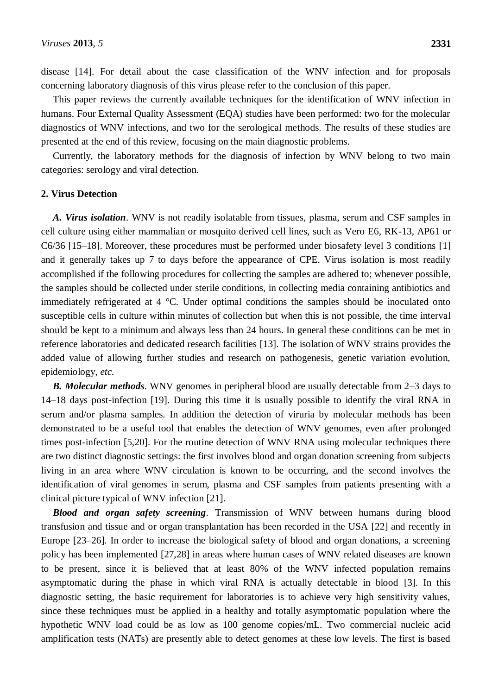disease [14]. For detail about the case classification of the WNV infection and for proposals concerning laboratory diagnosis of this virus please refer to the conclusion of this paper.

This paper reviews the currently available techniques for the identification of WNV infection in humans. Four External Quality Assessment (EQA) studies have been performed: two for the molecular diagnostics of WNV infections, and two for the serological methods. The results of these studies are presented at the end of this review, focusing on the main diagnostic problems.

Currently, the laboratory methods for the diagnosis of infection by WNV belong to two main categories: serology and viral detection.

## **2. Virus Detection**

*A. Virus isolation*. WNV is not readily isolatable from tissues, plasma, serum and CSF samples in cell culture using either mammalian or mosquito derived cell lines, such as Vero E6, RK-13, AP61 or C6/36 [15–18]. Moreover, these procedures must be performed under biosafety level 3 conditions [1] and it generally takes up 7 to days before the appearance of CPE. Virus isolation is most readily accomplished if the following procedures for collecting the samples are adhered to; whenever possible, the samples should be collected under sterile conditions, in collecting media containing antibiotics and immediately refrigerated at 4 °C. Under optimal conditions the samples should be inoculated onto susceptible cells in culture within minutes of collection but when this is not possible, the time interval should be kept to a minimum and always less than 24 hours. In general these conditions can be met in reference laboratories and dedicated research facilities [13]. The isolation of WNV strains provides the added value of allowing further studies and research on pathogenesis, genetic variation evolution, epidemiology, *etc.*

*B. Molecular methods*. WNV genomes in peripheral blood are usually detectable from 2–3 days to 14–18 days post-infection [19]. During this time it is usually possible to identify the viral RNA in serum and/or plasma samples. In addition the detection of viruria by molecular methods has been demonstrated to be a useful tool that enables the detection of WNV genomes, even after prolonged times post-infection [5,20]. For the routine detection of WNV RNA using molecular techniques there are two distinct diagnostic settings: the first involves blood and organ donation screening from subjects living in an area where WNV circulation is known to be occurring, and the second involves the identification of viral genomes in serum, plasma and CSF samples from patients presenting with a clinical picture typical of WNV infection [21].

*Blood and organ safety screening*. Transmission of WNV between humans during blood transfusion and tissue and or organ transplantation has been recorded in the USA [22] and recently in Europe [23–26]. In order to increase the biological safety of blood and organ donations, a screening policy has been implemented [27,28] in areas where human cases of WNV related diseases are known to be present, since it is believed that at least 80% of the WNV infected population remains asymptomatic during the phase in which viral RNA is actually detectable in blood [3]. In this diagnostic setting, the basic requirement for laboratories is to achieve very high sensitivity values, since these techniques must be applied in a healthy and totally asymptomatic population where the hypothetic WNV load could be as low as 100 genome copies/mL. Two commercial nucleic acid amplification tests (NATs) are presently able to detect genomes at these low levels. The first is based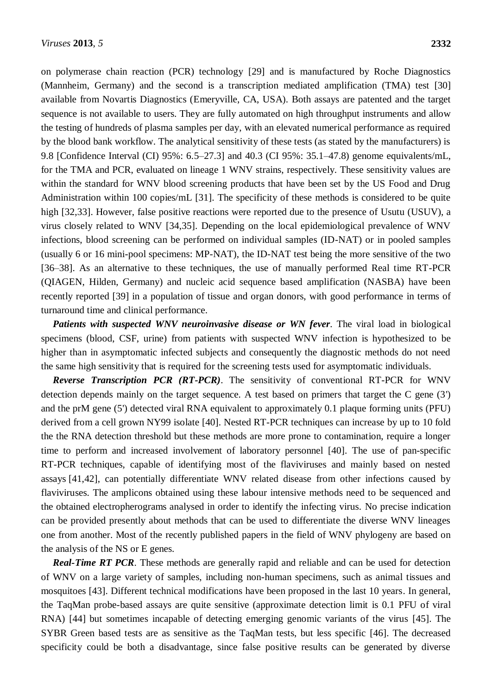on polymerase chain reaction (PCR) technology [29] and is manufactured by Roche Diagnostics (Mannheim, Germany) and the second is a transcription mediated amplification (TMA) test [30] available from Novartis Diagnostics (Emeryville, CA, USA). Both assays are patented and the target sequence is not available to users. They are fully automated on high throughput instruments and allow the testing of hundreds of plasma samples per day, with an elevated numerical performance as required by the blood bank workflow. The analytical sensitivity of these tests (as stated by the manufacturers) is 9.8 [Confidence Interval (CI) 95%: 6.5–27.3] and 40.3 (CI 95%: 35.1–47.8) genome equivalents/mL, for the TMA and PCR, evaluated on lineage 1 WNV strains, respectively. These sensitivity values are within the standard for WNV blood screening products that have been set by the US Food and Drug Administration within 100 copies/mL [31]. The specificity of these methods is considered to be quite high [32,33]. However, false positive reactions were reported due to the presence of Usutu (USUV), a virus closely related to WNV [34,35]. Depending on the local epidemiological prevalence of WNV infections, blood screening can be performed on individual samples (ID-NAT) or in pooled samples (usually 6 or 16 mini-pool specimens: MP-NAT), the ID-NAT test being the more sensitive of the two [36–38]. As an alternative to these techniques, the use of manually performed Real time RT-PCR (QIAGEN, Hilden, Germany) and nucleic acid sequence based amplification (NASBA) have been recently reported [39] in a population of tissue and organ donors, with good performance in terms of turnaround time and clinical performance.

**Patients with suspected WNV neuroinvasive disease or WN fever.** The viral load in biological specimens (blood, CSF, urine) from patients with suspected WNV infection is hypothesized to be higher than in asymptomatic infected subjects and consequently the diagnostic methods do not need the same high sensitivity that is required for the screening tests used for asymptomatic individuals.

*Reverse Transcription PCR (RT-PCR)*. The sensitivity of conventional RT-PCR for WNV detection depends mainly on the target sequence. A test based on primers that target the C gene (3') and the prM gene (5') detected viral RNA equivalent to approximately 0.1 plaque forming units (PFU) derived from a cell grown NY99 isolate [40]. Nested RT-PCR techniques can increase by up to 10 fold the the RNA detection threshold but these methods are more prone to contamination, require a longer time to perform and increased involvement of laboratory personnel [40]. The use of pan-specific RT-PCR techniques, capable of identifying most of the flaviviruses and mainly based on nested assays [41,42], can potentially differentiate WNV related disease from other infections caused by flaviviruses. The amplicons obtained using these labour intensive methods need to be sequenced and the obtained electropherograms analysed in order to identify the infecting virus. No precise indication can be provided presently about methods that can be used to differentiate the diverse WNV lineages one from another. Most of the recently published papers in the field of WNV phylogeny are based on the analysis of the NS or E genes.

*Real-Time RT PCR*. These methods are generally rapid and reliable and can be used for detection of WNV on a large variety of samples, including non-human specimens, such as animal tissues and mosquitoes [43]. Different technical modifications have been proposed in the last 10 years. In general, the TaqMan probe-based assays are quite sensitive (approximate detection limit is 0.1 PFU of viral RNA) [44] but sometimes incapable of detecting emerging genomic variants of the virus [45]. The SYBR Green based tests are as sensitive as the TaqMan tests, but less specific [46]. The decreased specificity could be both a disadvantage, since false positive results can be generated by diverse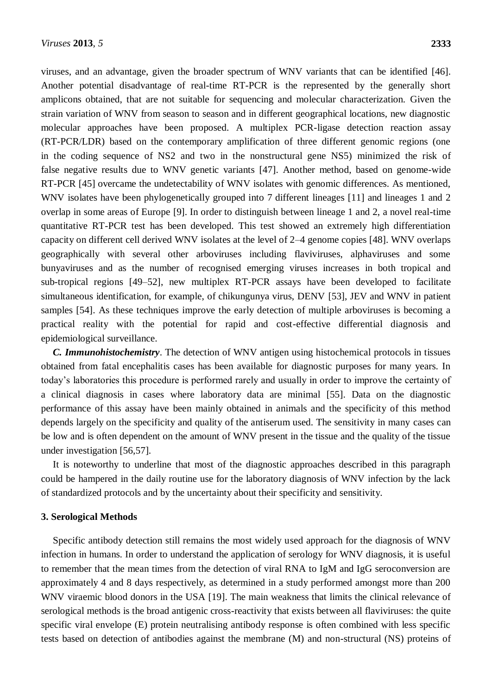viruses, and an advantage, given the broader spectrum of WNV variants that can be identified [46]. Another potential disadvantage of real-time RT-PCR is the represented by the generally short amplicons obtained, that are not suitable for sequencing and molecular characterization. Given the strain variation of WNV from season to season and in different geographical locations, new diagnostic molecular approaches have been proposed. A multiplex PCR-ligase detection reaction assay (RT-PCR/LDR) based on the contemporary amplification of three different genomic regions (one in the coding sequence of NS2 and two in the nonstructural gene NS5) minimized the risk of false negative results due to WNV genetic variants [47]. Another method, based on genome-wide RT-PCR [45] overcame the undetectability of WNV isolates with genomic differences. As mentioned, WNV isolates have been phylogenetically grouped into 7 different lineages [11] and lineages 1 and 2 overlap in some areas of Europe [9]. In order to distinguish between lineage 1 and 2, a novel real-time quantitative RT-PCR test has been developed. This test showed an extremely high differentiation capacity on different cell derived WNV isolates at the level of 2–4 genome copies [48]. WNV overlaps geographically with several other arboviruses including flaviviruses, alphaviruses and some bunyaviruses and as the number of recognised emerging viruses increases in both tropical and sub-tropical regions [49–52], new multiplex RT-PCR assays have been developed to facilitate simultaneous identification, for example, of chikungunya virus, DENV [53], JEV and WNV in patient samples [54]. As these techniques improve the early detection of multiple arboviruses is becoming a practical reality with the potential for rapid and cost-effective differential diagnosis and epidemiological surveillance.

*C. Immunohistochemistry*. The detection of WNV antigen using histochemical protocols in tissues obtained from fatal encephalitis cases has been available for diagnostic purposes for many years. In today's laboratories this procedure is performed rarely and usually in order to improve the certainty of a clinical diagnosis in cases where laboratory data are minimal [55]. Data on the diagnostic performance of this assay have been mainly obtained in animals and the specificity of this method depends largely on the specificity and quality of the antiserum used. The sensitivity in many cases can be low and is often dependent on the amount of WNV present in the tissue and the quality of the tissue under investigation [56,57].

It is noteworthy to underline that most of the diagnostic approaches described in this paragraph could be hampered in the daily routine use for the laboratory diagnosis of WNV infection by the lack of standardized protocols and by the uncertainty about their specificity and sensitivity.

### **3. Serological Methods**

Specific antibody detection still remains the most widely used approach for the diagnosis of WNV infection in humans. In order to understand the application of serology for WNV diagnosis, it is useful to remember that the mean times from the detection of viral RNA to IgM and IgG seroconversion are approximately 4 and 8 days respectively, as determined in a study performed amongst more than 200 WNV viraemic blood donors in the USA [19]. The main weakness that limits the clinical relevance of serological methods is the broad antigenic cross-reactivity that exists between all flaviviruses: the quite specific viral envelope (E) protein neutralising antibody response is often combined with less specific tests based on detection of antibodies against the membrane (M) and non-structural (NS) proteins of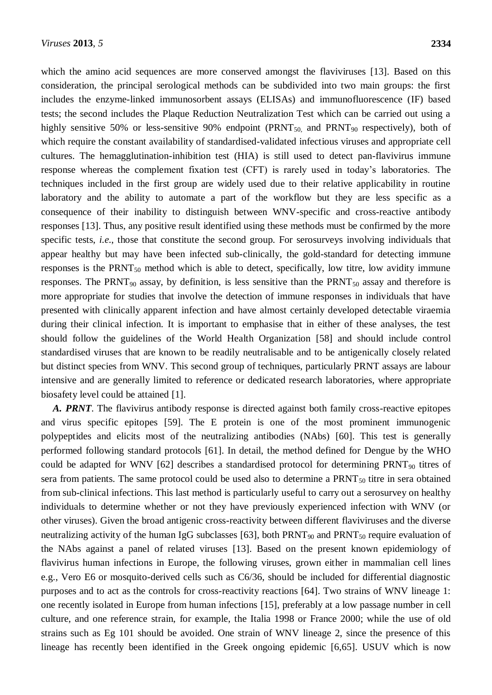which the amino acid sequences are more conserved amongst the flaviviruses [13]. Based on this consideration, the principal serological methods can be subdivided into two main groups: the first includes the enzyme-linked immunosorbent assays (ELISAs) and immunofluorescence (IF) based tests; the second includes the Plaque Reduction Neutralization Test which can be carried out using a highly sensitive 50% or less-sensitive 90% endpoint ( $PRNT<sub>50</sub>$  and  $PRNT<sub>90</sub>$  respectively), both of which require the constant availability of standardised-validated infectious viruses and appropriate cell cultures. The hemagglutination-inhibition test (HIA) is still used to detect pan-flavivirus immune response whereas the complement fixation test (CFT) is rarely used in today's laboratories. The techniques included in the first group are widely used due to their relative applicability in routine laboratory and the ability to automate a part of the workflow but they are less specific as a consequence of their inability to distinguish between WNV-specific and cross-reactive antibody responses [13]. Thus, any positive result identified using these methods must be confirmed by the more specific tests, *i.e.*, those that constitute the second group. For serosurveys involving individuals that appear healthy but may have been infected sub-clinically, the gold-standard for detecting immune responses is the  $PRNT_{50}$  method which is able to detect, specifically, low titre, low avidity immune responses. The PRNT<sub>90</sub> assay, by definition, is less sensitive than the PRNT<sub>50</sub> assay and therefore is more appropriate for studies that involve the detection of immune responses in individuals that have presented with clinically apparent infection and have almost certainly developed detectable viraemia during their clinical infection. It is important to emphasise that in either of these analyses, the test should follow the guidelines of the World Health Organization [58] and should include control standardised viruses that are known to be readily neutralisable and to be antigenically closely related but distinct species from WNV. This second group of techniques, particularly PRNT assays are labour intensive and are generally limited to reference or dedicated research laboratories, where appropriate biosafety level could be attained [1].

*A. PRNT*. The flavivirus antibody response is directed against both family cross-reactive epitopes and virus specific epitopes [59]. The E protein is one of the most prominent immunogenic polypeptides and elicits most of the neutralizing antibodies (NAbs) [60]. This test is generally performed following standard protocols [61]. In detail, the method defined for Dengue by the WHO could be adapted for WNV [62] describes a standardised protocol for determining PRNT<sub>90</sub> titres of sera from patients. The same protocol could be used also to determine a PRNT<sub>50</sub> titre in sera obtained from sub-clinical infections. This last method is particularly useful to carry out a serosurvey on healthy individuals to determine whether or not they have previously experienced infection with WNV (or other viruses). Given the broad antigenic cross-reactivity between different flaviviruses and the diverse neutralizing activity of the human IgG subclasses [63], both  $PRNT_{90}$  and  $PRNT_{50}$  require evaluation of the NAbs against a panel of related viruses [13]. Based on the present known epidemiology of flavivirus human infections in Europe, the following viruses, grown either in mammalian cell lines e.g., Vero E6 or mosquito-derived cells such as C6/36, should be included for differential diagnostic purposes and to act as the controls for cross-reactivity reactions [64]. Two strains of WNV lineage 1: one recently isolated in Europe from human infections [15], preferably at a low passage number in cell culture, and one reference strain, for example, the Italia 1998 or France 2000; while the use of old strains such as Eg 101 should be avoided. One strain of WNV lineage 2, since the presence of this lineage has recently been identified in the Greek ongoing epidemic [6,65]. USUV which is now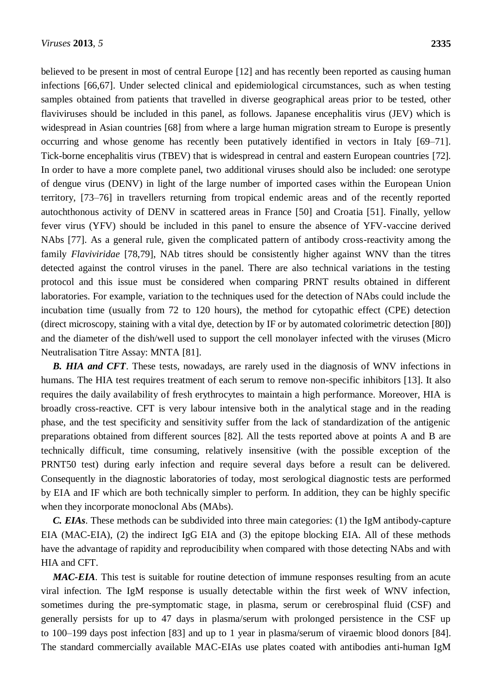believed to be present in most of central Europe [12] and has recently been reported as causing human infections [66,67]. Under selected clinical and epidemiological circumstances, such as when testing samples obtained from patients that travelled in diverse geographical areas prior to be tested, other flaviviruses should be included in this panel, as follows. Japanese encephalitis virus (JEV) which is widespread in Asian countries [68] from where a large human migration stream to Europe is presently occurring and whose genome has recently been putatively identified in vectors in Italy [69–71]. Tick-borne encephalitis virus (TBEV) that is widespread in central and eastern European countries [72]. In order to have a more complete panel, two additional viruses should also be included: one serotype of dengue virus (DENV) in light of the large number of imported cases within the European Union territory, [73–76] in travellers returning from tropical endemic areas and of the recently reported autochthonous activity of DENV in scattered areas in France [50] and Croatia [51]. Finally, yellow fever virus (YFV) should be included in this panel to ensure the absence of YFV-vaccine derived NAbs [77]. As a general rule, given the complicated pattern of antibody cross-reactivity among the family *Flaviviridae* [78,79], NAb titres should be consistently higher against WNV than the titres detected against the control viruses in the panel. There are also technical variations in the testing protocol and this issue must be considered when comparing PRNT results obtained in different laboratories. For example, variation to the techniques used for the detection of NAbs could include the incubation time (usually from 72 to 120 hours), the method for cytopathic effect (CPE) detection (direct microscopy, staining with a vital dye, detection by IF or by automated colorimetric detection [80]) and the diameter of the dish/well used to support the cell monolayer infected with the viruses (Micro Neutralisation Titre Assay: MNTA [81].

**B.** HIA and CFT. These tests, nowadays, are rarely used in the diagnosis of WNV infections in humans. The HIA test requires treatment of each serum to remove non-specific inhibitors [13]. It also requires the daily availability of fresh erythrocytes to maintain a high performance. Moreover, HIA is broadly cross-reactive. CFT is very labour intensive both in the analytical stage and in the reading phase, and the test specificity and sensitivity suffer from the lack of standardization of the antigenic preparations obtained from different sources [82]. All the tests reported above at points A and B are technically difficult, time consuming, relatively insensitive (with the possible exception of the PRNT50 test) during early infection and require several days before a result can be delivered. Consequently in the diagnostic laboratories of today, most serological diagnostic tests are performed by EIA and IF which are both technically simpler to perform. In addition, they can be highly specific when they incorporate monoclonal Abs (MAbs).

*C. EIAs*. These methods can be subdivided into three main categories: (1) the IgM antibody-capture EIA (MAC-EIA), (2) the indirect IgG EIA and (3) the epitope blocking EIA. All of these methods have the advantage of rapidity and reproducibility when compared with those detecting NAbs and with HIA and CFT.

*MAC-EIA*. This test is suitable for routine detection of immune responses resulting from an acute viral infection. The IgM response is usually detectable within the first week of WNV infection, sometimes during the pre-symptomatic stage, in plasma, serum or cerebrospinal fluid (CSF) and generally persists for up to 47 days in plasma/serum with prolonged persistence in the CSF up to 100–199 days post infection [83] and up to 1 year in plasma/serum of viraemic blood donors [84]. The standard commercially available MAC-EIAs use plates coated with antibodies anti-human IgM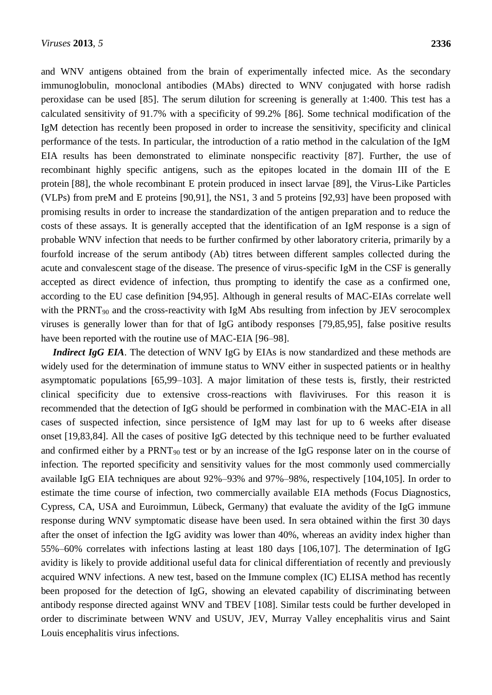and WNV antigens obtained from the brain of experimentally infected mice. As the secondary immunoglobulin, monoclonal antibodies (MAbs) directed to WNV conjugated with horse radish peroxidase can be used [85]. The serum dilution for screening is generally at 1:400. This test has a calculated sensitivity of 91.7% with a specificity of 99.2% [86]. Some technical modification of the IgM detection has recently been proposed in order to increase the sensitivity, specificity and clinical performance of the tests. In particular, the introduction of a ratio method in the calculation of the IgM EIA results has been demonstrated to eliminate nonspecific reactivity [87]. Further, the use of recombinant highly specific antigens, such as the epitopes located in the domain III of the E protein [88], the whole recombinant E protein produced in insect larvae [89], the Virus-Like Particles (VLPs) from preM and E proteins [90,91], the NS1, 3 and 5 proteins [92,93] have been proposed with promising results in order to increase the standardization of the antigen preparation and to reduce the costs of these assays. It is generally accepted that the identification of an IgM response is a sign of probable WNV infection that needs to be further confirmed by other laboratory criteria, primarily by a fourfold increase of the serum antibody (Ab) titres between different samples collected during the acute and convalescent stage of the disease. The presence of virus-specific IgM in the CSF is generally accepted as direct evidence of infection, thus prompting to identify the case as a confirmed one, according to the EU case definition [94,95]. Although in general results of MAC-EIAs correlate well with the PRNT<sub>90</sub> and the cross-reactivity with IgM Abs resulting from infection by JEV serocomplex viruses is generally lower than for that of IgG antibody responses [79,85,95], false positive results have been reported with the routine use of MAC-EIA [96–98].

*Indirect IgG EIA*. The detection of WNV IgG by EIAs is now standardized and these methods are widely used for the determination of immune status to WNV either in suspected patients or in healthy asymptomatic populations [65,99–103]. A major limitation of these tests is, firstly, their restricted clinical specificity due to extensive cross-reactions with flaviviruses. For this reason it is recommended that the detection of IgG should be performed in combination with the MAC-EIA in all cases of suspected infection, since persistence of IgM may last for up to 6 weeks after disease onset [19,83,84]. All the cases of positive IgG detected by this technique need to be further evaluated and confirmed either by a  $PRNT_{90}$  test or by an increase of the IgG response later on in the course of infection. The reported specificity and sensitivity values for the most commonly used commercially available IgG EIA techniques are about 92%–93% and 97%–98%, respectively [104,105]. In order to estimate the time course of infection, two commercially available EIA methods (Focus Diagnostics, Cypress, CA, USA and Euroimmun, Lübeck, Germany) that evaluate the avidity of the IgG immune response during WNV symptomatic disease have been used. In sera obtained within the first 30 days after the onset of infection the IgG avidity was lower than 40%, whereas an avidity index higher than 55%–60% correlates with infections lasting at least 180 days [106,107]. The determination of IgG avidity is likely to provide additional useful data for clinical differentiation of recently and previously acquired WNV infections. A new test, based on the Immune complex (IC) ELISA method has recently been proposed for the detection of IgG, showing an elevated capability of discriminating between antibody response directed against WNV and TBEV [108]. Similar tests could be further developed in order to discriminate between WNV and USUV, JEV, Murray Valley encephalitis virus and Saint Louis encephalitis virus infections.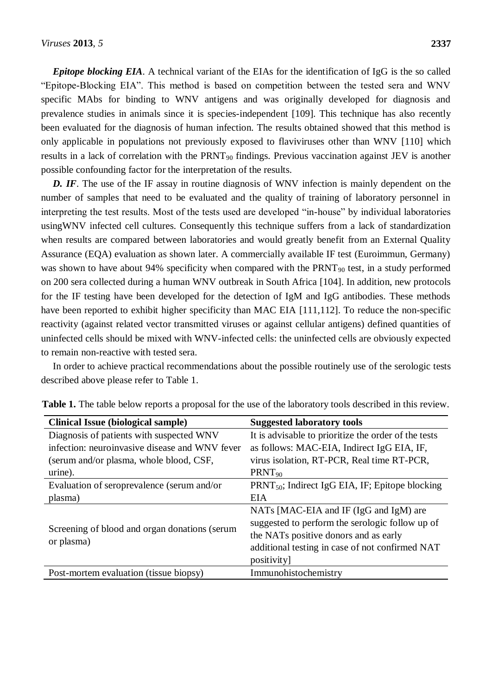*Epitope blocking EIA*. A technical variant of the EIAs for the identification of IgG is the so called "Epitope-Blocking EIA". This method is based on competition between the tested sera and WNV specific MAbs for binding to WNV antigens and was originally developed for diagnosis and prevalence studies in animals since it is species-independent [109]. This technique has also recently been evaluated for the diagnosis of human infection. The results obtained showed that this method is only applicable in populations not previously exposed to flaviviruses other than WNV [110] which results in a lack of correlation with the  $PRNT_{90}$  findings. Previous vaccination against JEV is another possible confounding factor for the interpretation of the results.

*D. IF.* The use of the IF assay in routine diagnosis of WNV infection is mainly dependent on the number of samples that need to be evaluated and the quality of training of laboratory personnel in interpreting the test results. Most of the tests used are developed "in-house" by individual laboratories usingWNV infected cell cultures. Consequently this technique suffers from a lack of standardization when results are compared between laboratories and would greatly benefit from an External Quality Assurance (EQA) evaluation as shown later. A commercially available IF test (Euroimmun, Germany) was shown to have about 94% specificity when compared with the  $PRNT_{90}$  test, in a study performed on 200 sera collected during a human WNV outbreak in South Africa [104]. In addition, new protocols for the IF testing have been developed for the detection of IgM and IgG antibodies. These methods have been reported to exhibit higher specificity than MAC EIA [111,112]. To reduce the non-specific reactivity (against related vector transmitted viruses or against cellular antigens) defined quantities of uninfected cells should be mixed with WNV-infected cells: the uninfected cells are obviously expected to remain non-reactive with tested sera.

In order to achieve practical recommendations about the possible routinely use of the serologic tests described above please refer to Table 1.

| <b>Clinical Issue (biological sample)</b>                   | <b>Suggested laboratory tools</b>                    |
|-------------------------------------------------------------|------------------------------------------------------|
| Diagnosis of patients with suspected WNV                    | It is advisable to prioritize the order of the tests |
| infection: neuroinvasive disease and WNV fever              | as follows: MAC-EIA, Indirect IgG EIA, IF,           |
| (serum and/or plasma, whole blood, CSF,                     | virus isolation, RT-PCR, Real time RT-PCR,           |
| urine).                                                     | $PRNT_{90}$                                          |
| Evaluation of seroprevalence (serum and/or                  | $PRNT_{50}$ ; Indirect IgG EIA, IF; Epitope blocking |
| plasma)                                                     | <b>EIA</b>                                           |
| Screening of blood and organ donations (serum<br>or plasma) | NATs [MAC-EIA and IF (IgG and IgM) are               |
|                                                             | suggested to perform the serologic follow up of      |
|                                                             | the NATs positive donors and as early                |
|                                                             | additional testing in case of not confirmed NAT      |
|                                                             | positivity                                           |
| Post-mortem evaluation (tissue biopsy)                      | Immunohistochemistry                                 |

**Table 1.** The table below reports a proposal for the use of the laboratory tools described in this review.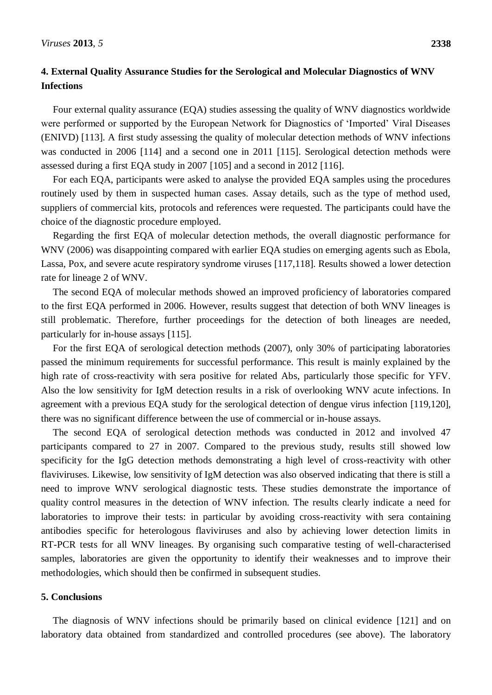# **4. External Quality Assurance Studies for the Serological and Molecular Diagnostics of WNV Infections**

Four external quality assurance (EQA) studies assessing the quality of WNV diagnostics worldwide were performed or supported by the European Network for Diagnostics of 'Imported' Viral Diseases (ENIVD) [113]. A first study assessing the quality of molecular detection methods of WNV infections was conducted in 2006 [114] and a second one in 2011 [115]. Serological detection methods were assessed during a first EQA study in 2007 [105] and a second in 2012 [116].

For each EQA, participants were asked to analyse the provided EQA samples using the procedures routinely used by them in suspected human cases. Assay details, such as the type of method used, suppliers of commercial kits, protocols and references were requested. The participants could have the choice of the diagnostic procedure employed.

Regarding the first EQA of molecular detection methods, the overall diagnostic performance for WNV (2006) was disappointing compared with earlier EQA studies on emerging agents such as Ebola, Lassa, Pox, and severe acute respiratory syndrome viruses [117,118]. Results showed a lower detection rate for lineage 2 of WNV.

The second EQA of molecular methods showed an improved proficiency of laboratories compared to the first EQA performed in 2006. However, results suggest that detection of both WNV lineages is still problematic. Therefore, further proceedings for the detection of both lineages are needed, particularly for in-house assays [115].

For the first EQA of serological detection methods (2007), only 30% of participating laboratories passed the minimum requirements for successful performance. This result is mainly explained by the high rate of cross-reactivity with sera positive for related Abs, particularly those specific for YFV. Also the low sensitivity for IgM detection results in a risk of overlooking WNV acute infections. In agreement with a previous EQA study for the serological detection of dengue virus infection [119,120], there was no significant difference between the use of commercial or in-house assays.

The second EQA of serological detection methods was conducted in 2012 and involved 47 participants compared to 27 in 2007. Compared to the previous study, results still showed low specificity for the IgG detection methods demonstrating a high level of cross-reactivity with other flaviviruses. Likewise, low sensitivity of IgM detection was also observed indicating that there is still a need to improve WNV serological diagnostic tests. These studies demonstrate the importance of quality control measures in the detection of WNV infection. The results clearly indicate a need for laboratories to improve their tests: in particular by avoiding cross-reactivity with sera containing antibodies specific for heterologous flaviviruses and also by achieving lower detection limits in RT-PCR tests for all WNV lineages. By organising such comparative testing of well-characterised samples, laboratories are given the opportunity to identify their weaknesses and to improve their methodologies, which should then be confirmed in subsequent studies.

# **5. Conclusions**

The diagnosis of WNV infections should be primarily based on clinical evidence [121] and on laboratory data obtained from standardized and controlled procedures (see above). The laboratory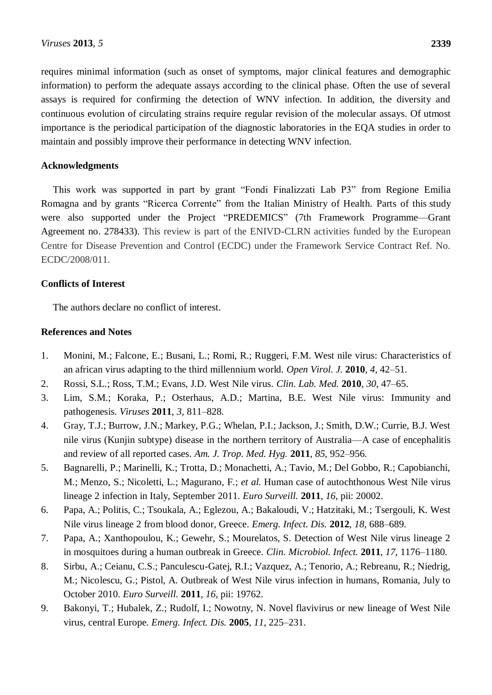requires minimal information (such as onset of symptoms, major clinical features and demographic information) to perform the adequate assays according to the clinical phase. Often the use of several assays is required for confirming the detection of WNV infection. In addition, the diversity and continuous evolution of circulating strains require regular revision of the molecular assays. Of utmost importance is the periodical participation of the diagnostic laboratories in the EQA studies in order to maintain and possibly improve their performance in detecting WNV infection.

### **Acknowledgments**

This work was supported in part by grant "Fondi Finalizzati Lab P3" from Regione Emilia Romagna and by grants "Ricerca Corrente" from the Italian Ministry of Health. Parts of this study were also supported under the Project "PREDEMICS" (7th Framework Programme—Grant Agreement no. 278433). This review is part of the ENIVD-CLRN activities funded by the European Centre for Disease Prevention and Control (ECDC) under the Framework Service Contract Ref. No. ECDC/2008/011.

## **Conflicts of Interest**

The authors declare no conflict of interest.

## **References and Notes**

- 1. Monini, M.; Falcone, E.; Busani, L.; Romi, R.; Ruggeri, F.M. West nile virus: Characteristics of an african virus adapting to the third millennium world. *Open Virol. J.* **2010**, *4*, 42–51.
- 2. Rossi, S.L.; Ross, T.M.; Evans, J.D. West Nile virus. *Clin. Lab. Med.* **2010**, *30*, 47–65.
- 3. Lim, S.M.; Koraka, P.; Osterhaus, A.D.; Martina, B.E. West Nile virus: Immunity and pathogenesis. *Viruses* **2011**, *3*, 811–828.
- 4. Gray, T.J.; Burrow, J.N.; Markey, P.G.; Whelan, P.I.; Jackson, J.; Smith, D.W.; Currie, B.J. West nile virus (Kunjin subtype) disease in the northern territory of Australia—A case of encephalitis and review of all reported cases. *Am. J. Trop. Med. Hyg.* **2011**, *85*, 952–956.
- 5. Bagnarelli, P.; Marinelli, K.; Trotta, D.; Monachetti, A.; Tavio, M.; Del Gobbo, R.; Capobianchi, M.; Menzo, S.; Nicoletti, L.; Magurano, F.; *et al.* Human case of autochthonous West Nile virus lineage 2 infection in Italy, September 2011. *Euro Surveill.* **2011**, *16*, pii: 20002.
- 6. Papa, A.; Politis, C.; Tsoukala, A.; Eglezou, A.; Bakaloudi, V.; Hatzitaki, M.; Tsergouli, K. West Nile virus lineage 2 from blood donor, Greece. *Emerg. Infect. Dis.* **2012**, *18*, 688–689.
- 7. Papa, A.; Xanthopoulou, K.; Gewehr, S.; Mourelatos, S. Detection of West Nile virus lineage 2 in mosquitoes during a human outbreak in Greece. *Clin. Microbiol. Infect.* **2011**, *17*, 1176–1180.
- 8. Sirbu, A.; Ceianu, C.S.; Panculescu-Gatej, R.I.; Vazquez, A.; Tenorio, A.; Rebreanu, R.; Niedrig, M.; Nicolescu, G.; Pistol, A. Outbreak of West Nile virus infection in humans, Romania, July to October 2010. *Euro Surveill.* **2011**, *16*, pii: 19762.
- 9. Bakonyi, T.; Hubalek, Z.; Rudolf, I.; Nowotny, N. Novel flavivirus or new lineage of West Nile virus, central Europe. *Emerg. Infect. Dis.* **2005**, *11*, 225–231.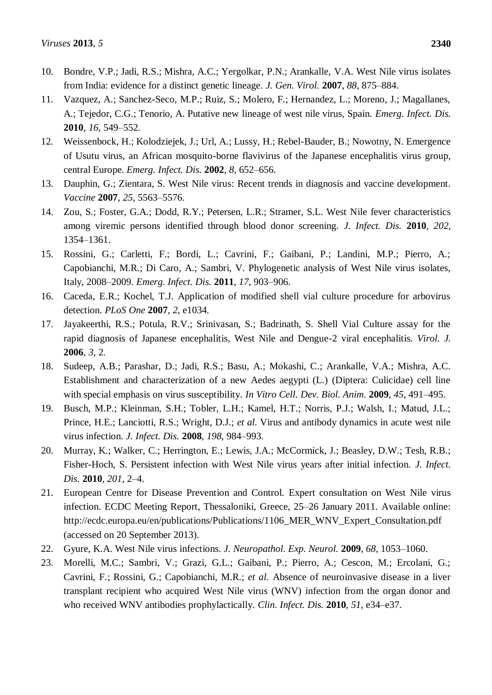- 10. Bondre, V.P.; Jadi, R.S.; Mishra, A.C.; Yergolkar, P.N.; Arankalle, V.A. West Nile virus isolates from India: evidence for a distinct genetic lineage. *J. Gen. Virol.* **2007**, *88*, 875–884.
- 11. Vazquez, A.; Sanchez-Seco, M.P.; Ruiz, S.; Molero, F.; Hernandez, L.; Moreno, J.; Magallanes, A.; Tejedor, C.G.; Tenorio, A. Putative new lineage of west nile virus, Spain. *Emerg. Infect. Dis.* **2010**, *16*, 549–552.
- 12. Weissenbock, H.; Kolodziejek, J.; Url, A.; Lussy, H.; Rebel-Bauder, B.; Nowotny, N. Emergence of Usutu virus, an African mosquito-borne flavivirus of the Japanese encephalitis virus group, central Europe. *Emerg. Infect. Dis.* **2002**, *8*, 652–656.
- 13. Dauphin, G.; Zientara, S. West Nile virus: Recent trends in diagnosis and vaccine development. *Vaccine* **2007**, *25*, 5563–5576.
- 14. Zou, S.; Foster, G.A.; Dodd, R.Y.; Petersen, L.R.; Stramer, S.L. West Nile fever characteristics among viremic persons identified through blood donor screening. *J. Infect. Dis.* **2010**, *202*, 1354–1361.
- 15. Rossini, G.; Carletti, F.; Bordi, L.; Cavrini, F.; Gaibani, P.; Landini, M.P.; Pierro, A.; Capobianchi, M.R.; Di Caro, A.; Sambri, V. Phylogenetic analysis of West Nile virus isolates, Italy, 2008–2009. *Emerg. Infect. Dis.* **2011**, *17*, 903–906.
- 16. Caceda, E.R.; Kochel, T.J. Application of modified shell vial culture procedure for arbovirus detection. *PLoS One* **2007**, *2*, e1034.
- 17. Jayakeerthi, R.S.; Potula, R.V.; Srinivasan, S.; Badrinath, S. Shell Vial Culture assay for the rapid diagnosis of Japanese encephalitis, West Nile and Dengue-2 viral encephalitis. *Virol. J.* **2006**, *3*, 2.
- 18. Sudeep, A.B.; Parashar, D.; Jadi, R.S.; Basu, A.; Mokashi, C.; Arankalle, V.A.; Mishra, A.C. Establishment and characterization of a new Aedes aegypti (L.) (Diptera: Culicidae) cell line with special emphasis on virus susceptibility. *In Vitro Cell. Dev. Biol. Anim.* **2009**, *45*, 491–495.
- 19. Busch, M.P.; Kleinman, S.H.; Tobler, L.H.; Kamel, H.T.; Norris, P.J.; Walsh, I.; Matud, J.L.; Prince, H.E.; Lanciotti, R.S.; Wright, D.J.; *et al.* Virus and antibody dynamics in acute west nile virus infection. *J. Infect. Dis.* **2008**, *198*, 984–993.
- 20. Murray, K.; Walker, C.; Herrington, E.; Lewis, J.A.; McCormick, J.; Beasley, D.W.; Tesh, R.B.; Fisher-Hoch, S. Persistent infection with West Nile virus years after initial infection. *J. Infect. Dis.* **2010**, *201*, 2–4.
- 21. European Centre for Disease Prevention and Control. Expert consultation on West Nile virus infection. ECDC Meeting Report, Thessaloniki, Greece, 25–26 January 2011. Available online: http://ecdc.europa.eu/en/publications/Publications/1106\_MER\_WNV\_Expert\_Consultation.pdf (accessed on 20 September 2013).
- 22. Gyure, K.A. West Nile virus infections. *J. Neuropathol. Exp. Neurol.* **2009**, *68*, 1053–1060.
- 23. Morelli, M.C.; Sambri, V.; Grazi, G.L.; Gaibani, P.; Pierro, A.; Cescon, M.; Ercolani, G.; Cavrini, F.; Rossini, G.; Capobianchi, M.R.; *et al.* Absence of neuroinvasive disease in a liver transplant recipient who acquired West Nile virus (WNV) infection from the organ donor and who received WNV antibodies prophylactically. *Clin. Infect. Dis.* **2010**, *51*, e34–e37.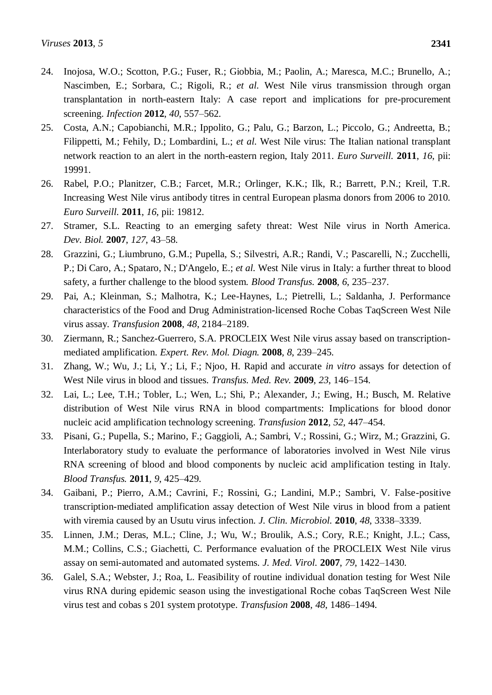- 24. Inojosa, W.O.; Scotton, P.G.; Fuser, R.; Giobbia, M.; Paolin, A.; Maresca, M.C.; Brunello, A.; Nascimben, E.; Sorbara, C.; Rigoli, R.; *et al.* West Nile virus transmission through organ transplantation in north-eastern Italy: A case report and implications for pre-procurement screening. *Infection* **2012**, *40*, 557–562.
- 25. Costa, A.N.; Capobianchi, M.R.; Ippolito, G.; Palu, G.; Barzon, L.; Piccolo, G.; Andreetta, B.; Filippetti, M.; Fehily, D.; Lombardini, L.; *et al.* West Nile virus: The Italian national transplant network reaction to an alert in the north-eastern region, Italy 2011. *Euro Surveill.* **2011**, *16*, pii: 19991.
- 26. Rabel, P.O.; Planitzer, C.B.; Farcet, M.R.; Orlinger, K.K.; Ilk, R.; Barrett, P.N.; Kreil, T.R. Increasing West Nile virus antibody titres in central European plasma donors from 2006 to 2010. *Euro Surveill.* **2011**, *16*, pii: 19812.
- 27. Stramer, S.L. Reacting to an emerging safety threat: West Nile virus in North America. *Dev. Biol.* **2007**, *127*, 43–58.
- 28. Grazzini, G.; Liumbruno, G.M.; Pupella, S.; Silvestri, A.R.; Randi, V.; Pascarelli, N.; Zucchelli, P.; Di Caro, A.; Spataro, N.; D'Angelo, E.; *et al.* West Nile virus in Italy: a further threat to blood safety, a further challenge to the blood system. *Blood Transfus.* **2008**, *6*, 235–237.
- 29. Pai, A.; Kleinman, S.; Malhotra, K.; Lee-Haynes, L.; Pietrelli, L.; Saldanha, J. Performance characteristics of the Food and Drug Administration-licensed Roche Cobas TaqScreen West Nile virus assay. *Transfusion* **2008**, *48*, 2184–2189.
- 30. Ziermann, R.; Sanchez-Guerrero, S.A. PROCLEIX West Nile virus assay based on transcriptionmediated amplification. *Expert. Rev. Mol. Diagn.* **2008**, *8*, 239–245.
- 31. Zhang, W.; Wu, J.; Li, Y.; Li, F.; Njoo, H. Rapid and accurate *in vitro* assays for detection of West Nile virus in blood and tissues. *Transfus. Med. Rev.* **2009**, *23*, 146–154.
- 32. Lai, L.; Lee, T.H.; Tobler, L.; Wen, L.; Shi, P.; Alexander, J.; Ewing, H.; Busch, M. Relative distribution of West Nile virus RNA in blood compartments: Implications for blood donor nucleic acid amplification technology screening. *Transfusion* **2012**, *52*, 447–454.
- 33. Pisani, G.; Pupella, S.; Marino, F.; Gaggioli, A.; Sambri, V.; Rossini, G.; Wirz, M.; Grazzini, G. Interlaboratory study to evaluate the performance of laboratories involved in West Nile virus RNA screening of blood and blood components by nucleic acid amplification testing in Italy. *Blood Transfus.* **2011**, *9*, 425–429.
- 34. Gaibani, P.; Pierro, A.M.; Cavrini, F.; Rossini, G.; Landini, M.P.; Sambri, V. False-positive transcription-mediated amplification assay detection of West Nile virus in blood from a patient with viremia caused by an Usutu virus infection. *J. Clin. Microbiol.* **2010**, *48*, 3338–3339.
- 35. Linnen, J.M.; Deras, M.L.; Cline, J.; Wu, W.; Broulik, A.S.; Cory, R.E.; Knight, J.L.; Cass, M.M.; Collins, C.S.; Giachetti, C. Performance evaluation of the PROCLEIX West Nile virus assay on semi-automated and automated systems. *J. Med. Virol.* **2007**, *79*, 1422–1430.
- 36. Galel, S.A.; Webster, J.; Roa, L. Feasibility of routine individual donation testing for West Nile virus RNA during epidemic season using the investigational Roche cobas TaqScreen West Nile virus test and cobas s 201 system prototype. *Transfusion* **2008**, *48*, 1486–1494.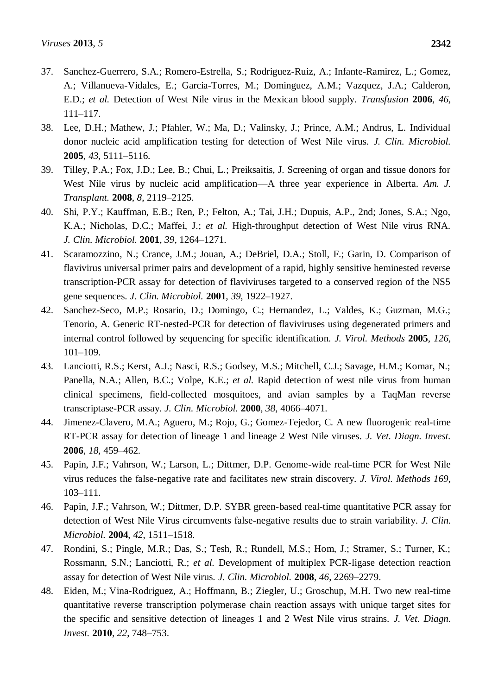- 38. Lee, D.H.; Mathew, J.; Pfahler, W.; Ma, D.; Valinsky, J.; Prince, A.M.; Andrus, L. Individual donor nucleic acid amplification testing for detection of West Nile virus. *J. Clin. Microbiol.* **2005**, *43*, 5111–5116.
- 39. Tilley, P.A.; Fox, J.D.; Lee, B.; Chui, L.; Preiksaitis, J. Screening of organ and tissue donors for West Nile virus by nucleic acid amplification—A three year experience in Alberta. *Am. J. Transplant.* **2008**, *8*, 2119–2125.
- 40. Shi, P.Y.; Kauffman, E.B.; Ren, P.; Felton, A.; Tai, J.H.; Dupuis, A.P., 2nd; Jones, S.A.; Ngo, K.A.; Nicholas, D.C.; Maffei, J.; *et al.* High-throughput detection of West Nile virus RNA. *J. Clin. Microbiol.* **2001**, *39*, 1264–1271.
- 41. Scaramozzino, N.; Crance, J.M.; Jouan, A.; DeBriel, D.A.; Stoll, F.; Garin, D. Comparison of flavivirus universal primer pairs and development of a rapid, highly sensitive heminested reverse transcription-PCR assay for detection of flaviviruses targeted to a conserved region of the NS5 gene sequences. *J. Clin. Microbiol.* **2001**, *39*, 1922–1927.
- 42. Sanchez-Seco, M.P.; Rosario, D.; Domingo, C.; Hernandez, L.; Valdes, K.; Guzman, M.G.; Tenorio, A. Generic RT-nested-PCR for detection of flaviviruses using degenerated primers and internal control followed by sequencing for specific identification. *J. Virol. Methods* **2005**, *126*, 101–109.
- 43. Lanciotti, R.S.; Kerst, A.J.; Nasci, R.S.; Godsey, M.S.; Mitchell, C.J.; Savage, H.M.; Komar, N.; Panella, N.A.; Allen, B.C.; Volpe, K.E.; *et al.* Rapid detection of west nile virus from human clinical specimens, field-collected mosquitoes, and avian samples by a TaqMan reverse transcriptase-PCR assay. *J. Clin. Microbiol.* **2000**, *38*, 4066–4071.
- 44. Jimenez-Clavero, M.A.; Aguero, M.; Rojo, G.; Gomez-Tejedor, C. A new fluorogenic real-time RT-PCR assay for detection of lineage 1 and lineage 2 West Nile viruses. *J. Vet. Diagn. Invest.* **2006**, *18*, 459–462.
- 45. Papin, J.F.; Vahrson, W.; Larson, L.; Dittmer, D.P. Genome-wide real-time PCR for West Nile virus reduces the false-negative rate and facilitates new strain discovery. *J. Virol. Methods 169*, 103–111.
- 46. Papin, J.F.; Vahrson, W.; Dittmer, D.P. SYBR green-based real-time quantitative PCR assay for detection of West Nile Virus circumvents false-negative results due to strain variability. *J. Clin. Microbiol.* **2004**, *42*, 1511–1518.
- 47. Rondini, S.; Pingle, M.R.; Das, S.; Tesh, R.; Rundell, M.S.; Hom, J.; Stramer, S.; Turner, K.; Rossmann, S.N.; Lanciotti, R.; *et al.* Development of multiplex PCR-ligase detection reaction assay for detection of West Nile virus. *J. Clin. Microbiol.* **2008**, *46*, 2269–2279.
- 48. Eiden, M.; Vina-Rodriguez, A.; Hoffmann, B.; Ziegler, U.; Groschup, M.H. Two new real-time quantitative reverse transcription polymerase chain reaction assays with unique target sites for the specific and sensitive detection of lineages 1 and 2 West Nile virus strains. *J. Vet. Diagn. Invest.* **2010**, *22*, 748–753.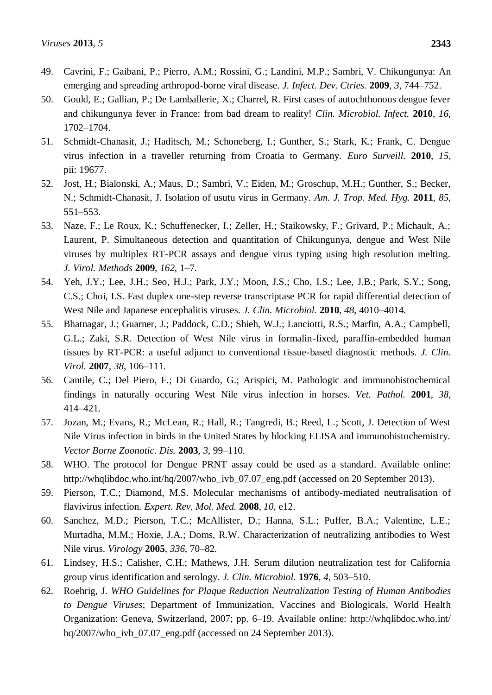- 49. Cavrini, F.; Gaibani, P.; Pierro, A.M.; Rossini, G.; Landini, M.P.; Sambri, V. Chikungunya: An emerging and spreading arthropod-borne viral disease. *J. Infect. Dev. Ctries.* **2009**, *3*, 744–752.
- 50. Gould, E.; Gallian, P.; De Lamballerie, X.; Charrel, R. First cases of autochthonous dengue fever and chikungunya fever in France: from bad dream to reality! *Clin. Microbiol. Infect.* **2010**, *16*, 1702–1704.
- 51. Schmidt-Chanasit, J.; Haditsch, M.; Schoneberg, I.; Gunther, S.; Stark, K.; Frank, C. Dengue virus infection in a traveller returning from Croatia to Germany. *Euro Surveill.* **2010**, *15*, pii: 19677.
- 52. Jost, H.; Bialonski, A.; Maus, D.; Sambri, V.; Eiden, M.; Groschup, M.H.; Gunther, S.; Becker, N.; Schmidt-Chanasit, J. Isolation of usutu virus in Germany. *Am. J. Trop. Med. Hyg.* **2011**, *85*, 551–553.
- 53. Naze, F.; Le Roux, K.; Schuffenecker, I.; Zeller, H.; Staikowsky, F.; Grivard, P.; Michault, A.; Laurent, P. Simultaneous detection and quantitation of Chikungunya, dengue and West Nile viruses by multiplex RT-PCR assays and dengue virus typing using high resolution melting. *J. Virol. Methods* **2009**, *162*, 1–7.
- 54. Yeh, J.Y.; Lee, J.H.; Seo, H.J.; Park, J.Y.; Moon, J.S.; Cho, I.S.; Lee, J.B.; Park, S.Y.; Song, C.S.; Choi, I.S. Fast duplex one-step reverse transcriptase PCR for rapid differential detection of West Nile and Japanese encephalitis viruses. *J. Clin. Microbiol.* **2010**, *48*, 4010–4014.
- 55. Bhatnagar, J.; Guarner, J.; Paddock, C.D.; Shieh, W.J.; Lanciotti, R.S.; Marfin, A.A.; Campbell, G.L.; Zaki, S.R. Detection of West Nile virus in formalin-fixed, paraffin-embedded human tissues by RT-PCR: a useful adjunct to conventional tissue-based diagnostic methods. *J. Clin. Virol.* **2007**, *38*, 106–111.
- 56. Cantile, C.; Del Piero, F.; Di Guardo, G.; Arispici, M. Pathologic and immunohistochemical findings in naturally occuring West Nile virus infection in horses. *Vet. Pathol.* **2001**, *38*, 414–421.
- 57. Jozan, M.; Evans, R.; McLean, R.; Hall, R.; Tangredi, B.; Reed, L.; Scott, J. Detection of West Nile Virus infection in birds in the United States by blocking ELISA and immunohistochemistry. *Vector Borne Zoonotic. Dis.* **2003**, *3*, 99–110.
- 58. WHO. The protocol for Dengue PRNT assay could be used as a standard. Available online: http://whqlibdoc.who.int/hq/2007/who\_ivb\_07.07\_eng.pdf (accessed on 20 September 2013).
- 59. Pierson, T.C.; Diamond, M.S. Molecular mechanisms of antibody-mediated neutralisation of flavivirus infection. *Expert. Rev. Mol. Med.* **2008**, *10*, e12.
- 60. Sanchez, M.D.; Pierson, T.C.; McAllister, D.; Hanna, S.L.; Puffer, B.A.; Valentine, L.E.; Murtadha, M.M.; Hoxie, J.A.; Doms, R.W. Characterization of neutralizing antibodies to West Nile virus. *Virology* **2005**, *336*, 70–82.
- 61. Lindsey, H.S.; Calisher, C.H.; Mathews, J.H. Serum dilution neutralization test for California group virus identification and serology. *J. Clin. Microbiol.* **1976**, *4*, 503–510.
- 62. Roehrig, J. *WHO Guidelines for Plaque Reduction Neutralization Testing of Human Antibodies to Dengue Viruses*; Department of Immunization, Vaccines and Biologicals, World Health Organization: Geneva, Switzerland, 2007; pp. 6–19. Available online: http://whqlibdoc.who.int/ hq/2007/who\_ivb\_07.07\_eng.pdf (accessed on 24 September 2013).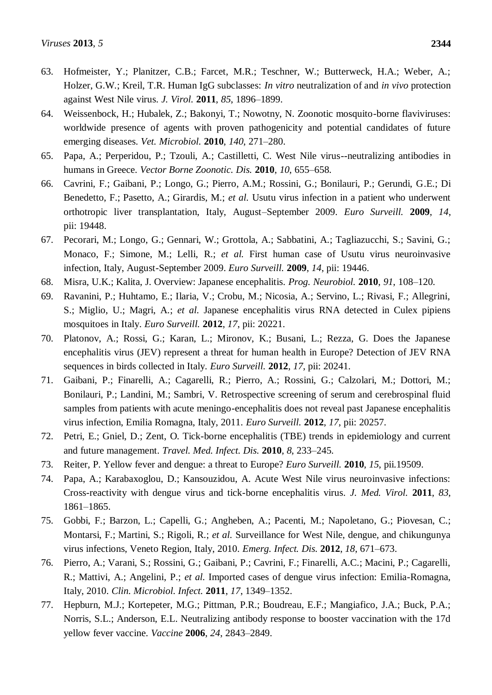- 63. Hofmeister, Y.; Planitzer, C.B.; Farcet, M.R.; Teschner, W.; Butterweck, H.A.; Weber, A.; Holzer, G.W.; Kreil, T.R. Human IgG subclasses: *In vitro* neutralization of and *in vivo* protection against West Nile virus. *J. Virol.* **2011**, *85*, 1896–1899.
- 64. Weissenbock, H.; Hubalek, Z.; Bakonyi, T.; Nowotny, N. Zoonotic mosquito-borne flaviviruses: worldwide presence of agents with proven pathogenicity and potential candidates of future emerging diseases. *Vet. Microbiol.* **2010**, *140*, 271–280.
- 65. Papa, A.; Perperidou, P.; Tzouli, A.; Castilletti, C. West Nile virus--neutralizing antibodies in humans in Greece. *Vector Borne Zoonotic. Dis.* **2010**, *10*, 655–658.
- 66. Cavrini, F.; Gaibani, P.; Longo, G.; Pierro, A.M.; Rossini, G.; Bonilauri, P.; Gerundi, G.E.; Di Benedetto, F.; Pasetto, A.; Girardis, M.; *et al.* Usutu virus infection in a patient who underwent orthotropic liver transplantation, Italy, August–September 2009. *Euro Surveill.* **2009**, *14*, pii: 19448.
- 67. Pecorari, M.; Longo, G.; Gennari, W.; Grottola, A.; Sabbatini, A.; Tagliazucchi, S.; Savini, G.; Monaco, F.; Simone, M.; Lelli, R.; *et al.* First human case of Usutu virus neuroinvasive infection, Italy, August-September 2009. *Euro Surveill.* **2009**, *14*, pii: 19446.
- 68. Misra, U.K.; Kalita, J. Overview: Japanese encephalitis. *Prog. Neurobiol.* **2010**, *91*, 108–120.
- 69. Ravanini, P.; Huhtamo, E.; Ilaria, V.; Crobu, M.; Nicosia, A.; Servino, L.; Rivasi, F.; Allegrini, S.; Miglio, U.; Magri, A.; *et al.* Japanese encephalitis virus RNA detected in Culex pipiens mosquitoes in Italy. *Euro Surveill.* **2012**, *17*, pii: 20221.
- 70. Platonov, A.; Rossi, G.; Karan, L.; Mironov, K.; Busani, L.; Rezza, G. Does the Japanese encephalitis virus (JEV) represent a threat for human health in Europe? Detection of JEV RNA sequences in birds collected in Italy. *Euro Surveill.* **2012**, *17*, pii: 20241.
- 71. Gaibani, P.; Finarelli, A.; Cagarelli, R.; Pierro, A.; Rossini, G.; Calzolari, M.; Dottori, M.; Bonilauri, P.; Landini, M.; Sambri, V. Retrospective screening of serum and cerebrospinal fluid samples from patients with acute meningo-encephalitis does not reveal past Japanese encephalitis virus infection, Emilia Romagna, Italy, 2011. *Euro Surveill.* **2012**, *17*, pii: 20257.
- 72. Petri, E.; Gniel, D.; Zent, O. Tick-borne encephalitis (TBE) trends in epidemiology and current and future management. *Travel. Med. Infect. Dis.* **2010**, *8*, 233–245.
- 73. Reiter, P. Yellow fever and dengue: a threat to Europe? *Euro Surveill.* **2010**, *15*, pii.19509.
- 74. Papa, A.; Karabaxoglou, D.; Kansouzidou, A. Acute West Nile virus neuroinvasive infections: Cross-reactivity with dengue virus and tick-borne encephalitis virus. *J. Med. Virol.* **2011**, *83*, 1861–1865.
- 75. Gobbi, F.; Barzon, L.; Capelli, G.; Angheben, A.; Pacenti, M.; Napoletano, G.; Piovesan, C.; Montarsi, F.; Martini, S.; Rigoli, R.; *et al.* Surveillance for West Nile, dengue, and chikungunya virus infections, Veneto Region, Italy, 2010. *Emerg. Infect. Dis.* **2012**, *18*, 671–673.
- 76. Pierro, A.; Varani, S.; Rossini, G.; Gaibani, P.; Cavrini, F.; Finarelli, A.C.; Macini, P.; Cagarelli, R.; Mattivi, A.; Angelini, P.; *et al.* Imported cases of dengue virus infection: Emilia-Romagna, Italy, 2010. *Clin. Microbiol. Infect.* **2011**, *17*, 1349–1352.
- 77. Hepburn, M.J.; Kortepeter, M.G.; Pittman, P.R.; Boudreau, E.F.; Mangiafico, J.A.; Buck, P.A.; Norris, S.L.; Anderson, E.L. Neutralizing antibody response to booster vaccination with the 17d yellow fever vaccine. *Vaccine* **2006**, *24*, 2843–2849.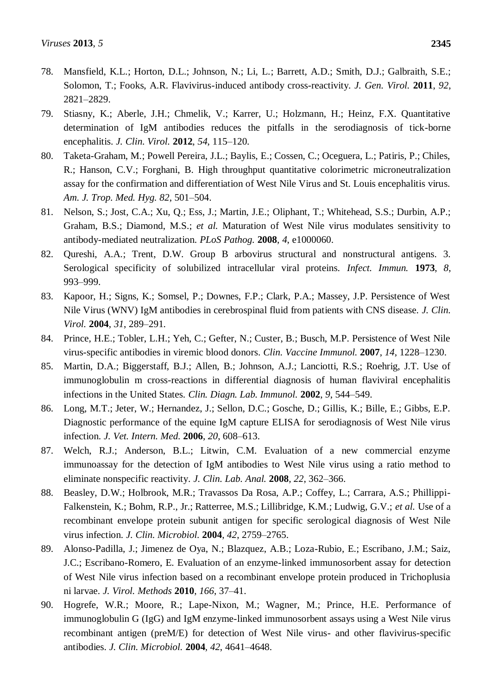- 78. Mansfield, K.L.; Horton, D.L.; Johnson, N.; Li, L.; Barrett, A.D.; Smith, D.J.; Galbraith, S.E.; Solomon, T.; Fooks, A.R. Flavivirus-induced antibody cross-reactivity. *J. Gen. Virol.* **2011**, *92*, 2821–2829.
- 79. Stiasny, K.; Aberle, J.H.; Chmelik, V.; Karrer, U.; Holzmann, H.; Heinz, F.X. Quantitative determination of IgM antibodies reduces the pitfalls in the serodiagnosis of tick-borne encephalitis. *J. Clin. Virol.* **2012**, *54*, 115–120.
- 80. Taketa-Graham, M.; Powell Pereira, J.L.; Baylis, E.; Cossen, C.; Oceguera, L.; Patiris, P.; Chiles, R.; Hanson, C.V.; Forghani, B. High throughput quantitative colorimetric microneutralization assay for the confirmation and differentiation of West Nile Virus and St. Louis encephalitis virus. *Am. J. Trop. Med. Hyg. 82*, 501–504.
- 81. Nelson, S.; Jost, C.A.; Xu, Q.; Ess, J.; Martin, J.E.; Oliphant, T.; Whitehead, S.S.; Durbin, A.P.; Graham, B.S.; Diamond, M.S.; *et al.* Maturation of West Nile virus modulates sensitivity to antibody-mediated neutralization. *PLoS Pathog.* **2008**, *4*, e1000060.
- 82. Qureshi, A.A.; Trent, D.W. Group B arbovirus structural and nonstructural antigens. 3. Serological specificity of solubilized intracellular viral proteins. *Infect. Immun.* **1973**, *8*, 993–999.
- 83. Kapoor, H.; Signs, K.; Somsel, P.; Downes, F.P.; Clark, P.A.; Massey, J.P. Persistence of West Nile Virus (WNV) IgM antibodies in cerebrospinal fluid from patients with CNS disease. *J. Clin. Virol.* **2004**, *31*, 289–291.
- 84. Prince, H.E.; Tobler, L.H.; Yeh, C.; Gefter, N.; Custer, B.; Busch, M.P. Persistence of West Nile virus-specific antibodies in viremic blood donors. *Clin. Vaccine Immunol.* **2007**, *14*, 1228–1230.
- 85. Martin, D.A.; Biggerstaff, B.J.; Allen, B.; Johnson, A.J.; Lanciotti, R.S.; Roehrig, J.T. Use of immunoglobulin m cross-reactions in differential diagnosis of human flaviviral encephalitis infections in the United States. *Clin. Diagn. Lab. Immunol.* **2002**, *9*, 544–549.
- 86. Long, M.T.; Jeter, W.; Hernandez, J.; Sellon, D.C.; Gosche, D.; Gillis, K.; Bille, E.; Gibbs, E.P. Diagnostic performance of the equine IgM capture ELISA for serodiagnosis of West Nile virus infection. *J. Vet. Intern. Med.* **2006**, *20*, 608–613.
- 87. Welch, R.J.; Anderson, B.L.; Litwin, C.M. Evaluation of a new commercial enzyme immunoassay for the detection of IgM antibodies to West Nile virus using a ratio method to eliminate nonspecific reactivity. *J. Clin. Lab. Anal.* **2008**, *22*, 362–366.
- 88. Beasley, D.W.; Holbrook, M.R.; Travassos Da Rosa, A.P.; Coffey, L.; Carrara, A.S.; Phillippi-Falkenstein, K.; Bohm, R.P., Jr.; Ratterree, M.S.; Lillibridge, K.M.; Ludwig, G.V.; *et al.* Use of a recombinant envelope protein subunit antigen for specific serological diagnosis of West Nile virus infection. *J. Clin. Microbiol.* **2004**, *42*, 2759–2765.
- 89. Alonso-Padilla, J.; Jimenez de Oya, N.; Blazquez, A.B.; Loza-Rubio, E.; Escribano, J.M.; Saiz, J.C.; Escribano-Romero, E. Evaluation of an enzyme-linked immunosorbent assay for detection of West Nile virus infection based on a recombinant envelope protein produced in Trichoplusia ni larvae. *J. Virol. Methods* **2010**, *166*, 37–41.
- 90. Hogrefe, W.R.; Moore, R.; Lape-Nixon, M.; Wagner, M.; Prince, H.E. Performance of immunoglobulin G (IgG) and IgM enzyme-linked immunosorbent assays using a West Nile virus recombinant antigen (preM/E) for detection of West Nile virus- and other flavivirus-specific antibodies. *J. Clin. Microbiol.* **2004**, *42*, 4641–4648.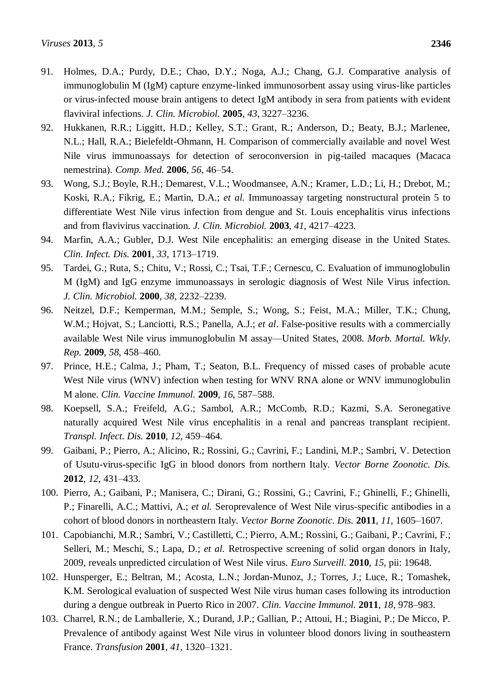- 91. Holmes, D.A.; Purdy, D.E.; Chao, D.Y.; Noga, A.J.; Chang, G.J. Comparative analysis of immunoglobulin M (IgM) capture enzyme-linked immunosorbent assay using virus-like particles or virus-infected mouse brain antigens to detect IgM antibody in sera from patients with evident flaviviral infections. *J. Clin. Microbiol.* **2005**, *43*, 3227–3236.
- 92. Hukkanen, R.R.; Liggitt, H.D.; Kelley, S.T.; Grant, R.; Anderson, D.; Beaty, B.J.; Marlenee, N.L.; Hall, R.A.; Bielefeldt-Ohmann, H. Comparison of commercially available and novel West Nile virus immunoassays for detection of seroconversion in pig-tailed macaques (Macaca nemestrina). *Comp. Med.* **2006**, *56*, 46–54.
- 93. Wong, S.J.; Boyle, R.H.; Demarest, V.L.; Woodmansee, A.N.; Kramer, L.D.; Li, H.; Drebot, M.; Koski, R.A.; Fikrig, E.; Martin, D.A.; *et al.* Immunoassay targeting nonstructural protein 5 to differentiate West Nile virus infection from dengue and St. Louis encephalitis virus infections and from flavivirus vaccination. *J. Clin. Microbiol.* **2003**, *41*, 4217–4223.
- 94. Marfin, A.A.; Gubler, D.J. West Nile encephalitis: an emerging disease in the United States. *Clin. Infect. Dis.* **2001**, *33*, 1713–1719.
- 95. Tardei, G.; Ruta, S.; Chitu, V.; Rossi, C.; Tsai, T.F.; Cernescu, C. Evaluation of immunoglobulin M (IgM) and IgG enzyme immunoassays in serologic diagnosis of West Nile Virus infection. *J. Clin. Microbiol.* **2000**, *38*, 2232–2239.
- 96. Neitzel, D.F.; Kemperman, M.M.; Semple, S.; Wong, S.; Feist, M.A.; Miller, T.K.; Chung, W.M.; Hojvat, S.; Lanciotti, R.S.; Panella, A.J.; *et al.* False-positive results with a commercially available West Nile virus immunoglobulin M assay—United States, 2008. *Morb. Mortal. Wkly. Rep.* **2009**, *58*, 458–460.
- 97. Prince, H.E.; Calma, J.; Pham, T.; Seaton, B.L. Frequency of missed cases of probable acute West Nile virus (WNV) infection when testing for WNV RNA alone or WNV immunoglobulin M alone. *Clin. Vaccine Immunol.* **2009**, *16*, 587–588.
- 98. Koepsell, S.A.; Freifeld, A.G.; Sambol, A.R.; McComb, R.D.; Kazmi, S.A. Seronegative naturally acquired West Nile virus encephalitis in a renal and pancreas transplant recipient. *Transpl. Infect. Dis.* **2010**, *12*, 459–464.
- 99. Gaibani, P.; Pierro, A.; Alicino, R.; Rossini, G.; Cavrini, F.; Landini, M.P.; Sambri, V. Detection of Usutu-virus-specific IgG in blood donors from northern Italy. *Vector Borne Zoonotic. Dis.* **2012**, *12*, 431–433.
- 100. Pierro, A.; Gaibani, P.; Manisera, C.; Dirani, G.; Rossini, G.; Cavrini, F.; Ghinelli, F.; Ghinelli, P.; Finarelli, A.C.; Mattivi, A.; *et al.* Seroprevalence of West Nile virus-specific antibodies in a cohort of blood donors in northeastern Italy. *Vector Borne Zoonotic. Dis.* **2011**, *11*, 1605–1607.
- 101. Capobianchi, M.R.; Sambri, V.; Castilletti, C.; Pierro, A.M.; Rossini, G.; Gaibani, P.; Cavrini, F.; Selleri, M.; Meschi, S.; Lapa, D.; *et al.* Retrospective screening of solid organ donors in Italy, 2009, reveals unpredicted circulation of West Nile virus. *Euro Surveill.* **2010**, *15*, pii: 19648.
- 102. Hunsperger, E.; Beltran, M.; Acosta, L.N.; Jordan-Munoz, J.; Torres, J.; Luce, R.; Tomashek, K.M. Serological evaluation of suspected West Nile virus human cases following its introduction during a dengue outbreak in Puerto Rico in 2007. *Clin. Vaccine Immunol.* **2011**, *18*, 978–983.
- 103. Charrel, R.N.; de Lamballerie, X.; Durand, J.P.; Gallian, P.; Attoui, H.; Biagini, P.; De Micco, P. Prevalence of antibody against West Nile virus in volunteer blood donors living in southeastern France. *Transfusion* **2001**, *41*, 1320–1321.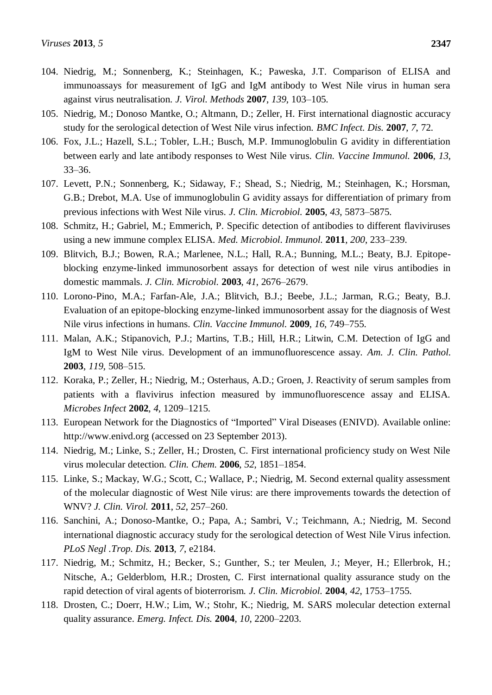- 104. Niedrig, M.; Sonnenberg, K.; Steinhagen, K.; Paweska, J.T. Comparison of ELISA and immunoassays for measurement of IgG and IgM antibody to West Nile virus in human sera against virus neutralisation. *J. Virol. Methods* **2007**, *139*, 103–105.
- 105. Niedrig, M.; Donoso Mantke, O.; Altmann, D.; Zeller, H. First international diagnostic accuracy study for the serological detection of West Nile virus infection. *BMC Infect. Dis.* **2007**, *7*, 72.
- 106. Fox, J.L.; Hazell, S.L.; Tobler, L.H.; Busch, M.P. Immunoglobulin G avidity in differentiation between early and late antibody responses to West Nile virus. *Clin. Vaccine Immunol.* **2006**, *13*, 33–36.
- 107. Levett, P.N.; Sonnenberg, K.; Sidaway, F.; Shead, S.; Niedrig, M.; Steinhagen, K.; Horsman, G.B.; Drebot, M.A. Use of immunoglobulin G avidity assays for differentiation of primary from previous infections with West Nile virus. *J. Clin. Microbiol.* **2005**, *43*, 5873–5875.
- 108. Schmitz, H.; Gabriel, M.; Emmerich, P. Specific detection of antibodies to different flaviviruses using a new immune complex ELISA. *Med. Microbiol. Immunol.* **2011**, *200*, 233–239.
- 109. Blitvich, B.J.; Bowen, R.A.; Marlenee, N.L.; Hall, R.A.; Bunning, M.L.; Beaty, B.J. Epitopeblocking enzyme-linked immunosorbent assays for detection of west nile virus antibodies in domestic mammals. *J. Clin. Microbiol.* **2003**, *41*, 2676–2679.
- 110. Lorono-Pino, M.A.; Farfan-Ale, J.A.; Blitvich, B.J.; Beebe, J.L.; Jarman, R.G.; Beaty, B.J. Evaluation of an epitope-blocking enzyme-linked immunosorbent assay for the diagnosis of West Nile virus infections in humans. *Clin. Vaccine Immunol.* **2009**, *16*, 749–755.
- 111. Malan, A.K.; Stipanovich, P.J.; Martins, T.B.; Hill, H.R.; Litwin, C.M. Detection of IgG and IgM to West Nile virus. Development of an immunofluorescence assay. *Am. J. Clin. Pathol.* **2003**, *119*, 508–515.
- 112. Koraka, P.; Zeller, H.; Niedrig, M.; Osterhaus, A.D.; Groen, J. Reactivity of serum samples from patients with a flavivirus infection measured by immunofluorescence assay and ELISA. *Microbes Infect* **2002**, *4*, 1209–1215.
- 113. European Network for the Diagnostics of "Imported" Viral Diseases (ENIVD). Available online: http://www.enivd.org (accessed on 23 September 2013).
- 114. Niedrig, M.; Linke, S.; Zeller, H.; Drosten, C. First international proficiency study on West Nile virus molecular detection. *Clin. Chem.* **2006**, *52*, 1851–1854.
- 115. Linke, S.; Mackay, W.G.; Scott, C.; Wallace, P.; Niedrig, M. Second external quality assessment of the molecular diagnostic of West Nile virus: are there improvements towards the detection of WNV? *J. Clin. Virol.* **2011**, *52*, 257–260.
- 116. Sanchini, A.; Donoso-Mantke, O.; Papa, A.; Sambri, V.; Teichmann, A.; Niedrig, M. Second international diagnostic accuracy study for the serological detection of West Nile Virus infection. *[PLoS Negl .Trop.](http://www.ncbi.nlm.nih.gov/pmc/articles/PMC3636139/pdf/pntd.0002184.pdf) Dis.* **2013**, *7*, e2184.
- 117. Niedrig, M.; Schmitz, H.; Becker, S.; Gunther, S.; ter Meulen, J.; Meyer, H.; Ellerbrok, H.; Nitsche, A.; Gelderblom, H.R.; Drosten, C. First international quality assurance study on the rapid detection of viral agents of bioterrorism. *J. Clin. Microbiol.* **2004**, *42*, 1753–1755.
- 118. Drosten, C.; Doerr, H.W.; Lim, W.; Stohr, K.; Niedrig, M. SARS molecular detection external quality assurance. *Emerg. Infect. Dis.* **2004**, *10*, 2200–2203.